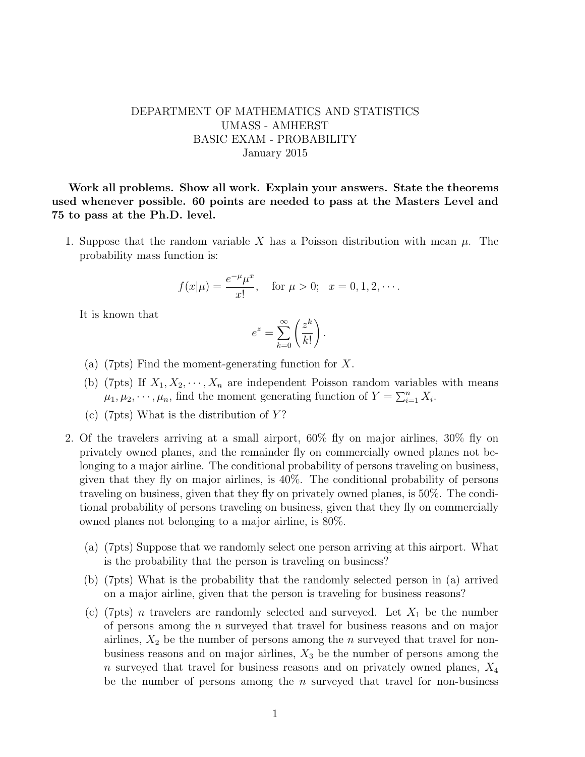## DEPARTMENT OF MATHEMATICS AND STATISTICS UMASS - AMHERST BASIC EXAM - PROBABILITY January 2015

Work all problems. Show all work. Explain your answers. State the theorems used whenever possible. 60 points are needed to pass at the Masters Level and 75 to pass at the Ph.D. level.

1. Suppose that the random variable X has a Poisson distribution with mean  $\mu$ . The probability mass function is:

$$
f(x|\mu) = \frac{e^{-\mu}\mu^x}{x!}
$$
, for  $\mu > 0$ ;  $x = 0, 1, 2, \cdots$ .

It is known that

$$
e^z = \sum_{k=0}^{\infty} \left(\frac{z^k}{k!}\right).
$$

- (a) (7pts) Find the moment-generating function for X.
- (b) (7pts) If  $X_1, X_2, \dots, X_n$  are independent Poisson random variables with means  $\mu_1, \mu_2, \cdots, \mu_n$ , find the moment generating function of  $Y = \sum_{i=1}^n X_i$ .
- (c) (7pts) What is the distribution of  $Y$ ?
- 2. Of the travelers arriving at a small airport, 60% fly on major airlines, 30% fly on privately owned planes, and the remainder fly on commercially owned planes not belonging to a major airline. The conditional probability of persons traveling on business, given that they fly on major airlines, is 40%. The conditional probability of persons traveling on business, given that they fly on privately owned planes, is 50%. The conditional probability of persons traveling on business, given that they fly on commercially owned planes not belonging to a major airline, is 80%.
	- (a) (7pts) Suppose that we randomly select one person arriving at this airport. What is the probability that the person is traveling on business?
	- (b) (7pts) What is the probability that the randomly selected person in (a) arrived on a major airline, given that the person is traveling for business reasons?
	- (c) (7pts) *n* travelers are randomly selected and surveyed. Let  $X_1$  be the number of persons among the n surveyed that travel for business reasons and on major airlines,  $X_2$  be the number of persons among the *n* surveyed that travel for nonbusiness reasons and on major airlines,  $X_3$  be the number of persons among the n surveyed that travel for business reasons and on privately owned planes,  $X_4$ be the number of persons among the n surveyed that travel for non-business